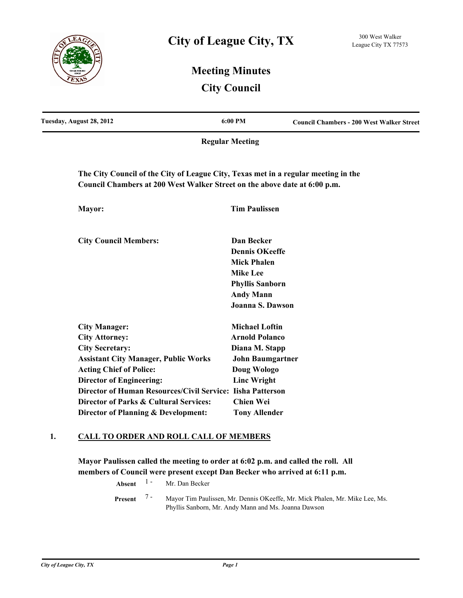

# **Meeting Minutes City Council**

| Tuesday, August 28, 2012                                                                                                                                        | 6:00 PM                 | <b>Council Chambers - 200 West Walker Street</b> |
|-----------------------------------------------------------------------------------------------------------------------------------------------------------------|-------------------------|--------------------------------------------------|
|                                                                                                                                                                 | <b>Regular Meeting</b>  |                                                  |
| The City Council of the City of League City, Texas met in a regular meeting in the<br>Council Chambers at 200 West Walker Street on the above date at 6:00 p.m. |                         |                                                  |
|                                                                                                                                                                 |                         |                                                  |
| Mayor:                                                                                                                                                          | <b>Tim Paulissen</b>    |                                                  |
| <b>City Council Members:</b>                                                                                                                                    | Dan Becker              |                                                  |
|                                                                                                                                                                 | <b>Dennis OKeeffe</b>   |                                                  |
|                                                                                                                                                                 | <b>Mick Phalen</b>      |                                                  |
|                                                                                                                                                                 | <b>Mike Lee</b>         |                                                  |
|                                                                                                                                                                 | <b>Phyllis Sanborn</b>  |                                                  |
|                                                                                                                                                                 | <b>Andy Mann</b>        |                                                  |
|                                                                                                                                                                 | Joanna S. Dawson        |                                                  |
| <b>City Manager:</b>                                                                                                                                            | <b>Michael Loftin</b>   |                                                  |
| <b>City Attorney:</b>                                                                                                                                           | <b>Arnold Polanco</b>   |                                                  |
| <b>City Secretary:</b>                                                                                                                                          | Diana M. Stapp          |                                                  |
| <b>Assistant City Manager, Public Works</b>                                                                                                                     | <b>John Baumgartner</b> |                                                  |
| <b>Acting Chief of Police:</b>                                                                                                                                  | Doug Wologo             |                                                  |
| <b>Director of Engineering:</b>                                                                                                                                 | <b>Linc Wright</b>      |                                                  |
| Director of Human Resources/Civil Service: Iisha Patterson                                                                                                      |                         |                                                  |

## **1. CALL TO ORDER AND ROLL CALL OF MEMBERS**

**Director of Parks & Cultural Services: Chien Wei Director of Planning & Development: Tony Allender**

**Mayor Paulissen called the meeting to order at 6:02 p.m. and called the roll. All members of Council were present except Dan Becker who arrived at 6:11 p.m.**

**Absent** <sup>1</sup> - Mr. Dan Becker

Mayor Tim Paulissen, Mr. Dennis OKeeffe, Mr. Mick Phalen, Mr. Mike Lee, Ms. Phyllis Sanborn, Mr. Andy Mann and Ms. Joanna Dawson **Present** 7 -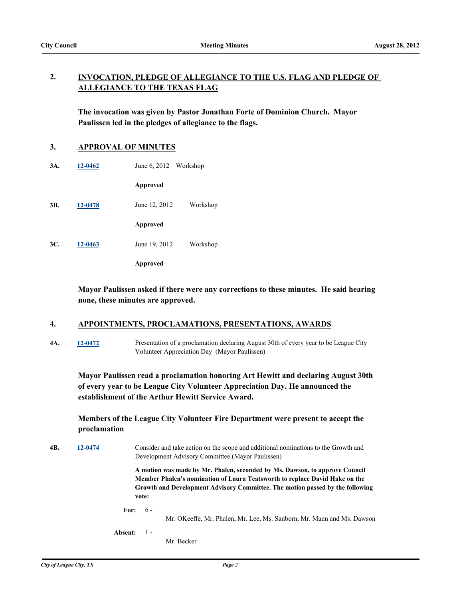#### **INVOCATION, PLEDGE OF ALLEGIANCE TO THE U.S. FLAG AND PLEDGE OF ALLEGIANCE TO THE TEXAS FLAG 2.**

**The invocation was given by Pastor Jonathan Forte of Dominion Church. Mayor Paulissen led in the pledges of allegiance to the flags.**

#### **3. APPROVAL OF MINUTES**

**3A. [12-0462](http://leaguecity.legistar.com/gateway.aspx?m=l&id=3310)** June 6, 2012 Workshop

**Approved**

**3B. [12-0478](http://leaguecity.legistar.com/gateway.aspx?m=l&id=3326)** June 12, 2012 Workshop

**Approved**

**3C. [12-0463](http://leaguecity.legistar.com/gateway.aspx?m=l&id=3311)** June 19, 2012 Workshop

**Approved**

**Mayor Paulissen asked if there were any corrections to these minutes. He said hearing none, these minutes are approved.**

#### **4. APPOINTMENTS, PROCLAMATIONS, PRESENTATIONS, AWARDS**

**4A. [12-0472](http://leaguecity.legistar.com/gateway.aspx?m=l&id=3320)** Presentation of a proclamation declaring August 30th of every year to be League City Volunteer Appreciation Day (Mayor Paulissen)

**Mayor Paulissen read a proclamation honoring Art Hewitt and declaring August 30th of every year to be League City Volunteer Appreciation Day. He announced the establishment of the Arthur Hewitt Service Award.**

## **Members of the League City Volunteer Fire Department were present to accept the proclamation**

**4B. [12-0474](http://leaguecity.legistar.com/gateway.aspx?m=l&id=3322)** Consider and take action on the scope and additional nominations to the Growth and Development Advisory Committee (Mayor Paulissen)

> **A motion was made by Mr. Phalen, seconded by Ms. Dawson, to approve Council Member Phalen's nomination of Laura Teatsworth to replace David Hake on the Growth and Development Advisory Committee. The motion passed by the following vote:**

**For:** 6 -

Mr. OKeeffe, Mr. Phalen, Mr. Lee, Ms. Sanborn, Mr. Mann and Ms. Dawson

**Absent:** 1 -

Mr. Becker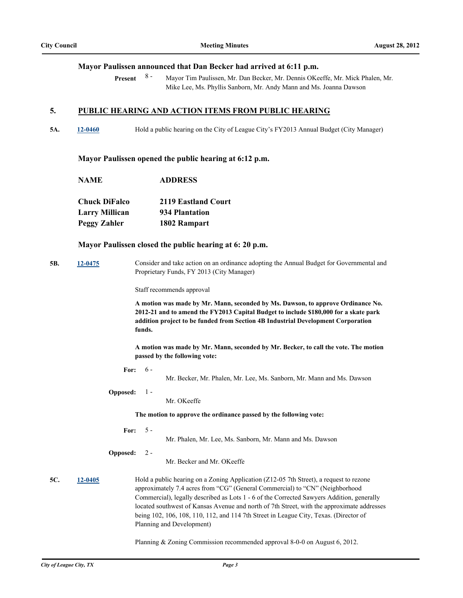#### **Mayor Paulissen announced that Dan Becker had arrived at 6:11 p.m.**

Mayor Tim Paulissen, Mr. Dan Becker, Mr. Dennis OKeeffe, Mr. Mick Phalen, Mr. Mike Lee, Ms. Phyllis Sanborn, Mr. Andy Mann and Ms. Joanna Dawson **Present** 8 -

#### **5. PUBLIC HEARING AND ACTION ITEMS FROM PUBLIC HEARING**

**5A. [12-0460](http://leaguecity.legistar.com/gateway.aspx?m=l&id=3308)** Hold a public hearing on the City of League City's FY2013 Annual Budget (City Manager)

#### **Mayor Paulissen opened the public hearing at 6:12 p.m.**

**NAME ADDRESS Chuck DiFalco 2119 Eastland Court Larry Millican 934 Plantation Peggy Zahler 1802 Rampart**

#### **Mayor Paulissen closed the public hearing at 6: 20 p.m.**

**5B. [12-0475](http://leaguecity.legistar.com/gateway.aspx?m=l&id=3323)** Consider and take action on an ordinance adopting the Annual Budget for Governmental and Proprietary Funds, FY 2013 (City Manager)

Staff recommends approval

**A motion was made by Mr. Mann, seconded by Ms. Dawson, to approve Ordinance No. 2012-21 and to amend the FY2013 Capital Budget to include \$180,000 for a skate park addition project to be funded from Section 4B Industrial Development Corporation funds.** 

**A motion was made by Mr. Mann, seconded by Mr. Becker, to call the vote. The motion passed by the following vote:**

- **For:** 6 -
- Mr. Becker, Mr. Phalen, Mr. Lee, Ms. Sanborn, Mr. Mann and Ms. Dawson
- **Opposed:** 1 -

Mr. OKeeffe

**The motion to approve the ordinance passed by the following vote:**

**For:**  $5 -$ 

Mr. Phalen, Mr. Lee, Ms. Sanborn, Mr. Mann and Ms. Dawson

**Opposed:** 2 -

Mr. Becker and Mr. OKeeffe

**5C. [12-0405](http://leaguecity.legistar.com/gateway.aspx?m=l&id=3253)** Hold a public hearing on a Zoning Application (Z12-05 7th Street), a request to rezone approximately 7.4 acres from "CG" (General Commercial) to "CN" (Neighborhood Commercial), legally described as Lots 1 - 6 of the Corrected Sawyers Addition, generally located southwest of Kansas Avenue and north of 7th Street, with the approximate addresses being 102, 106, 108, 110, 112, and 114 7th Street in League City, Texas. (Director of Planning and Development)

Planning & Zoning Commission recommended approval 8-0-0 on August 6, 2012.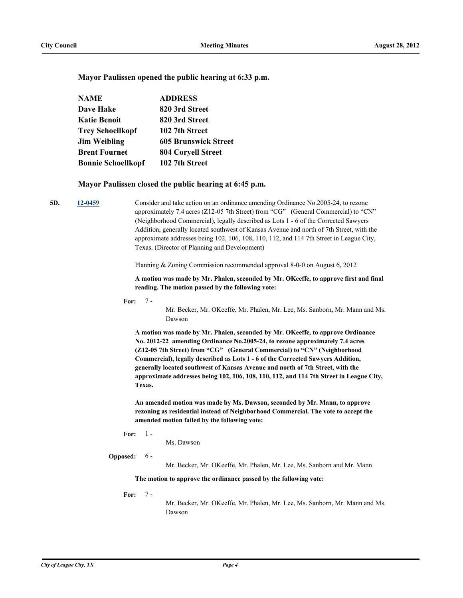**Mayor Paulissen opened the public hearing at 6:33 p.m.**

| <b>NAME</b>               | <b>ADDRESS</b>              |
|---------------------------|-----------------------------|
| <b>Dave Hake</b>          | 820 3rd Street              |
| <b>Katie Benoit</b>       | 820 3rd Street              |
| <b>Trey Schoellkopf</b>   | 102 7th Street              |
| <b>Jim Weibling</b>       | <b>605 Brunswick Street</b> |
| <b>Brent Fournet</b>      | <b>804 Coryell Street</b>   |
| <b>Bonnie Schoellkopf</b> | 102 7th Street              |

#### **Mayor Paulissen closed the public hearing at 6:45 p.m.**

**5D. [12-0459](http://leaguecity.legistar.com/gateway.aspx?m=l&id=3307)** Consider and take action on an ordinance amending Ordinance No.2005-24, to rezone approximately 7.4 acres (Z12-05 7th Street) from "CG" (General Commercial) to "CN" (Neighborhood Commercial), legally described as Lots 1 - 6 of the Corrected Sawyers Addition, generally located southwest of Kansas Avenue and north of 7th Street, with the approximate addresses being 102, 106, 108, 110, 112, and 114 7th Street in League City, Texas. (Director of Planning and Development)

Planning & Zoning Commission recommended approval 8-0-0 on August 6, 2012

**A motion was made by Mr. Phalen, seconded by Mr. OKeeffe, to approve first and final reading. The motion passed by the following vote:**

**For:** 7 -

Mr. Becker, Mr. OKeeffe, Mr. Phalen, Mr. Lee, Ms. Sanborn, Mr. Mann and Ms. Dawson

**A motion was made by Mr. Phalen, seconded by Mr. OKeeffe, to approve Ordinance No. 2012-22 amending Ordinance No.2005-24, to rezone approximately 7.4 acres (Z12-05 7th Street) from "CG" (General Commercial) to "CN" (Neighborhood Commercial), legally described as Lots 1 - 6 of the Corrected Sawyers Addition, generally located southwest of Kansas Avenue and north of 7th Street, with the approximate addresses being 102, 106, 108, 110, 112, and 114 7th Street in League City, Texas.**

**An amended motion was made by Ms. Dawson, seconded by Mr. Mann, to approve rezoning as residential instead of Neighborhood Commercial. The vote to accept the amended motion failed by the following vote:**

**For:** 1 -

Ms. Dawson

**Opposed:** 6 -

Mr. Becker, Mr. OKeeffe, Mr. Phalen, Mr. Lee, Ms. Sanborn and Mr. Mann

**The motion to approve the ordinance passed by the following vote:**

**For:** 7 -

Mr. Becker, Mr. OKeeffe, Mr. Phalen, Mr. Lee, Ms. Sanborn, Mr. Mann and Ms. Dawson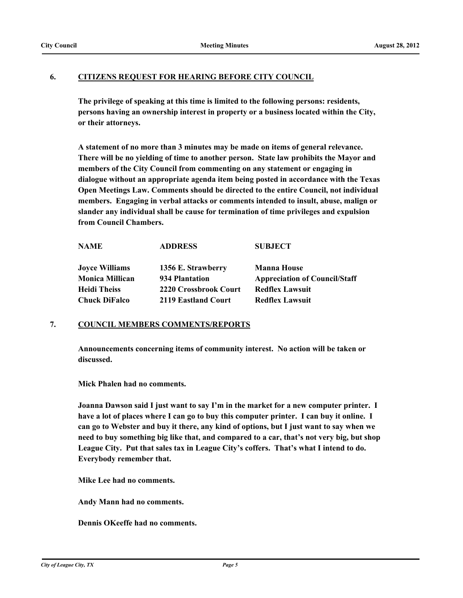#### **6. CITIZENS REQUEST FOR HEARING BEFORE CITY COUNCIL**

**The privilege of speaking at this time is limited to the following persons: residents, persons having an ownership interest in property or a business located within the City, or their attorneys.**

**A statement of no more than 3 minutes may be made on items of general relevance. There will be no yielding of time to another person. State law prohibits the Mayor and members of the City Council from commenting on any statement or engaging in dialogue without an appropriate agenda item being posted in accordance with the Texas Open Meetings Law. Comments should be directed to the entire Council, not individual members. Engaging in verbal attacks or comments intended to insult, abuse, malign or slander any individual shall be cause for termination of time privileges and expulsion from Council Chambers.**

| <b>NAME</b>            | <b>ADDRESS</b>        | <b>SUBJECT</b>                       |
|------------------------|-----------------------|--------------------------------------|
| <b>Joyce Williams</b>  | 1356 E. Strawberry    | <b>Manna House</b>                   |
| <b>Monica Millican</b> | 934 Plantation        | <b>Appreciation of Council/Staff</b> |
| <b>Heidi Theiss</b>    | 2220 Crossbrook Court | <b>Redflex Lawsuit</b>               |
| <b>Chuck DiFalco</b>   | 2119 Eastland Court   | <b>Redflex Lawsuit</b>               |

### **7. COUNCIL MEMBERS COMMENTS/REPORTS**

**Announcements concerning items of community interest. No action will be taken or discussed.**

**Mick Phalen had no comments.**

**Joanna Dawson said I just want to say I'm in the market for a new computer printer. I have a lot of places where I can go to buy this computer printer. I can buy it online. I can go to Webster and buy it there, any kind of options, but I just want to say when we need to buy something big like that, and compared to a car, that's not very big, but shop League City. Put that sales tax in League City's coffers. That's what I intend to do. Everybody remember that.** 

**Mike Lee had no comments.**

**Andy Mann had no comments.**

**Dennis OKeeffe had no comments.**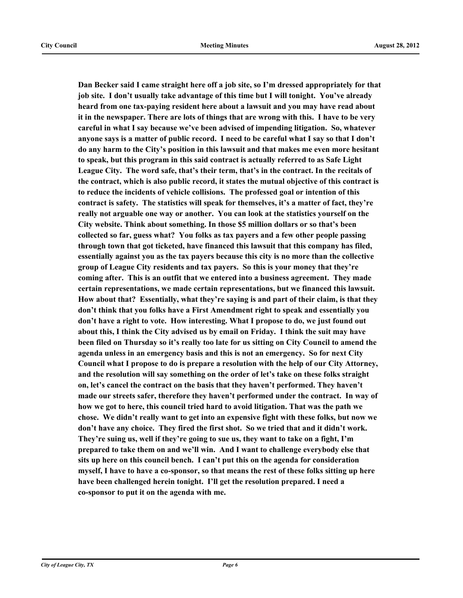**Dan Becker said I came straight here off a job site, so I'm dressed appropriately for that job site. I don't usually take advantage of this time but I will tonight. You've already heard from one tax-paying resident here about a lawsuit and you may have read about it in the newspaper. There are lots of things that are wrong with this. I have to be very careful in what I say because we've been advised of impending litigation. So, whatever anyone says is a matter of public record. I need to be careful what I say so that I don't do any harm to the City's position in this lawsuit and that makes me even more hesitant to speak, but this program in this said contract is actually referred to as Safe Light League City. The word safe, that's their term, that's in the contract. In the recitals of the contract, which is also public record, it states the mutual objective of this contract is to reduce the incidents of vehicle collisions. The professed goal or intention of this contract is safety. The statistics will speak for themselves, it's a matter of fact, they're really not arguable one way or another. You can look at the statistics yourself on the City website. Think about something. In those \$5 million dollars or so that's been collected so far, guess what? You folks as tax payers and a few other people passing through town that got ticketed, have financed this lawsuit that this company has filed, essentially against you as the tax payers because this city is no more than the collective group of League City residents and tax payers. So this is your money that they're coming after. This is an outfit that we entered into a business agreement. They made certain representations, we made certain representations, but we financed this lawsuit. How about that? Essentially, what they're saying is and part of their claim, is that they don't think that you folks have a First Amendment right to speak and essentially you don't have a right to vote. How interesting. What I propose to do, we just found out about this, I think the City advised us by email on Friday. I think the suit may have been filed on Thursday so it's really too late for us sitting on City Council to amend the agenda unless in an emergency basis and this is not an emergency. So for next City Council what I propose to do is prepare a resolution with the help of our City Attorney, and the resolution will say something on the order of let's take on these folks straight on, let's cancel the contract on the basis that they haven't performed. They haven't made our streets safer, therefore they haven't performed under the contract. In way of how we got to here, this council tried hard to avoid litigation. That was the path we chose. We didn't really want to get into an expensive fight with these folks, but now we don't have any choice. They fired the first shot. So we tried that and it didn't work. They're suing us, well if they're going to sue us, they want to take on a fight, I'm prepared to take them on and we'll win. And I want to challenge everybody else that sits up here on this council bench. I can't put this on the agenda for consideration myself, I have to have a co-sponsor, so that means the rest of these folks sitting up here have been challenged herein tonight. I'll get the resolution prepared. I need a co-sponsor to put it on the agenda with me.**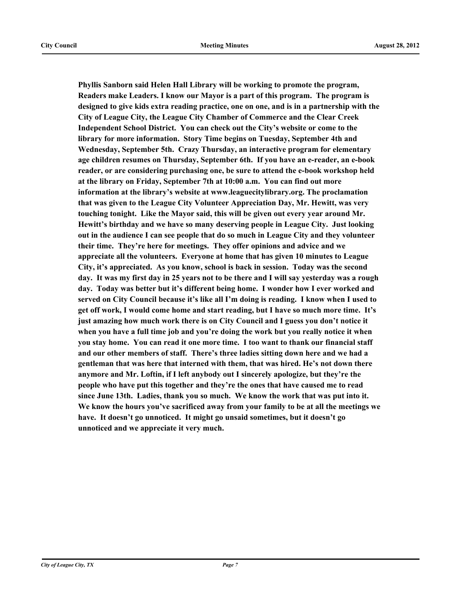**Phyllis Sanborn said Helen Hall Library will be working to promote the program, Readers make Leaders. I know our Mayor is a part of this program. The program is designed to give kids extra reading practice, one on one, and is in a partnership with the City of League City, the League City Chamber of Commerce and the Clear Creek Independent School District. You can check out the City's website or come to the library for more information. Story Time begins on Tuesday, September 4th and Wednesday, September 5th. Crazy Thursday, an interactive program for elementary age children resumes on Thursday, September 6th. If you have an e-reader, an e-book reader, or are considering purchasing one, be sure to attend the e-book workshop held at the library on Friday, September 7th at 10:00 a.m. You can find out more information at the library's website at www.leaguecitylibrary.org. The proclamation that was given to the League City Volunteer Appreciation Day, Mr. Hewitt, was very touching tonight. Like the Mayor said, this will be given out every year around Mr. Hewitt's birthday and we have so many deserving people in League City. Just looking out in the audience I can see people that do so much in League City and they volunteer their time. They're here for meetings. They offer opinions and advice and we appreciate all the volunteers. Everyone at home that has given 10 minutes to League City, it's appreciated. As you know, school is back in session. Today was the second day. It was my first day in 25 years not to be there and I will say yesterday was a rough day. Today was better but it's different being home. I wonder how I ever worked and served on City Council because it's like all I'm doing is reading. I know when I used to get off work, I would come home and start reading, but I have so much more time. It's just amazing how much work there is on City Council and I guess you don't notice it when you have a full time job and you're doing the work but you really notice it when you stay home. You can read it one more time. I too want to thank our financial staff and our other members of staff. There's three ladies sitting down here and we had a gentleman that was here that interned with them, that was hired. He's not down there anymore and Mr. Loftin, if I left anybody out I sincerely apologize, but they're the people who have put this together and they're the ones that have caused me to read since June 13th. Ladies, thank you so much. We know the work that was put into it. We know the hours you've sacrificed away from your family to be at all the meetings we have. It doesn't go unnoticed. It might go unsaid sometimes, but it doesn't go unnoticed and we appreciate it very much.**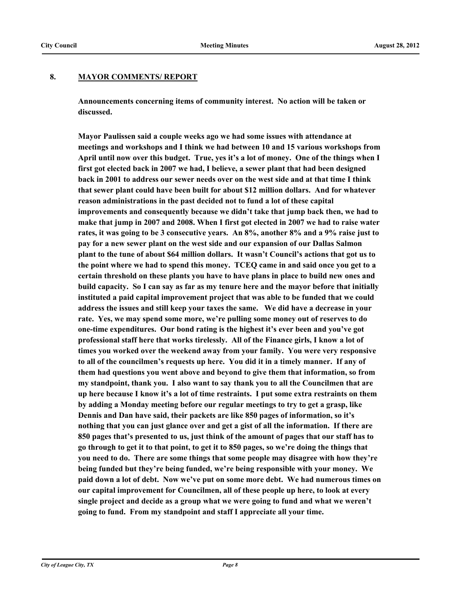## **8. MAYOR COMMENTS/ REPORT**

**Announcements concerning items of community interest. No action will be taken or discussed.**

**Mayor Paulissen said a couple weeks ago we had some issues with attendance at meetings and workshops and I think we had between 10 and 15 various workshops from April until now over this budget. True, yes it's a lot of money. One of the things when I first got elected back in 2007 we had, I believe, a sewer plant that had been designed back in 2001 to address our sewer needs over on the west side and at that time I think that sewer plant could have been built for about \$12 million dollars. And for whatever reason administrations in the past decided not to fund a lot of these capital improvements and consequently because we didn't take that jump back then, we had to make that jump in 2007 and 2008. When I first got elected in 2007 we had to raise water rates, it was going to be 3 consecutive years. An 8%, another 8% and a 9% raise just to pay for a new sewer plant on the west side and our expansion of our Dallas Salmon plant to the tune of about \$64 million dollars. It wasn't Council's actions that got us to the point where we had to spend this money. TCEQ came in and said once you get to a certain threshold on these plants you have to have plans in place to build new ones and build capacity. So I can say as far as my tenure here and the mayor before that initially instituted a paid capital improvement project that was able to be funded that we could address the issues and still keep your taxes the same. We did have a decrease in your rate. Yes, we may spend some more, we're pulling some money out of reserves to do one-time expenditures. Our bond rating is the highest it's ever been and you've got professional staff here that works tirelessly. All of the Finance girls, I know a lot of times you worked over the weekend away from your family. You were very responsive to all of the councilmen's requests up here. You did it in a timely manner. If any of them had questions you went above and beyond to give them that information, so from my standpoint, thank you. I also want to say thank you to all the Councilmen that are up here because I know it's a lot of time restraints. I put some extra restraints on them by adding a Monday meeting before our regular meetings to try to get a grasp, like Dennis and Dan have said, their packets are like 850 pages of information, so it's nothing that you can just glance over and get a gist of all the information. If there are 850 pages that's presented to us, just think of the amount of pages that our staff has to go through to get it to that point, to get it to 850 pages, so we're doing the things that you need to do. There are some things that some people may disagree with how they're being funded but they're being funded, we're being responsible with your money. We paid down a lot of debt. Now we've put on some more debt. We had numerous times on our capital improvement for Councilmen, all of these people up here, to look at every single project and decide as a group what we were going to fund and what we weren't going to fund. From my standpoint and staff I appreciate all your time.**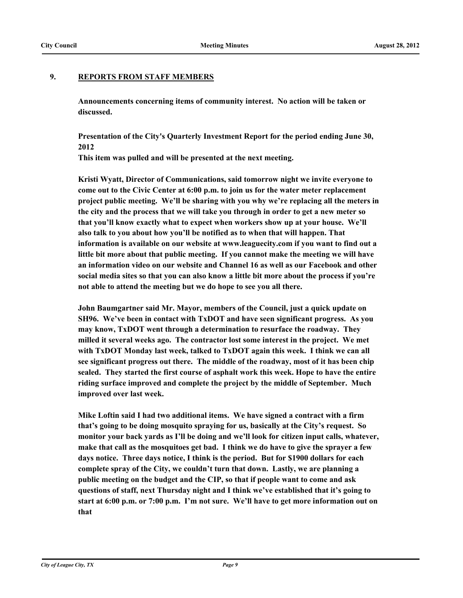#### **9. REPORTS FROM STAFF MEMBERS**

**Announcements concerning items of community interest. No action will be taken or discussed.**

**Presentation of the City's Quarterly Investment Report for the period ending June 30, 2012**

**This item was pulled and will be presented at the next meeting.**

**Kristi Wyatt, Director of Communications, said tomorrow night we invite everyone to come out to the Civic Center at 6:00 p.m. to join us for the water meter replacement project public meeting. We'll be sharing with you why we're replacing all the meters in the city and the process that we will take you through in order to get a new meter so that you'll know exactly what to expect when workers show up at your house. We'll also talk to you about how you'll be notified as to when that will happen. That information is available on our website at www.leaguecity.com if you want to find out a little bit more about that public meeting. If you cannot make the meeting we will have an information video on our website and Channel 16 as well as our Facebook and other social media sites so that you can also know a little bit more about the process if you're not able to attend the meeting but we do hope to see you all there.** 

**John Baumgartner said Mr. Mayor, members of the Council, just a quick update on SH96. We've been in contact with TxDOT and have seen significant progress. As you may know, TxDOT went through a determination to resurface the roadway. They milled it several weeks ago. The contractor lost some interest in the project. We met with TxDOT Monday last week, talked to TxDOT again this week. I think we can all see significant progress out there. The middle of the roadway, most of it has been chip sealed. They started the first course of asphalt work this week. Hope to have the entire riding surface improved and complete the project by the middle of September. Much improved over last week.** 

**Mike Loftin said I had two additional items. We have signed a contract with a firm that's going to be doing mosquito spraying for us, basically at the City's request. So monitor your back yards as I'll be doing and we'll look for citizen input calls, whatever, make that call as the mosquitoes get bad. I think we do have to give the sprayer a few days notice. Three days notice, I think is the period. But for \$1900 dollars for each complete spray of the City, we couldn't turn that down. Lastly, we are planning a public meeting on the budget and the CIP, so that if people want to come and ask questions of staff, next Thursday night and I think we've established that it's going to start at 6:00 p.m. or 7:00 p.m. I'm not sure. We'll have to get more information out on that**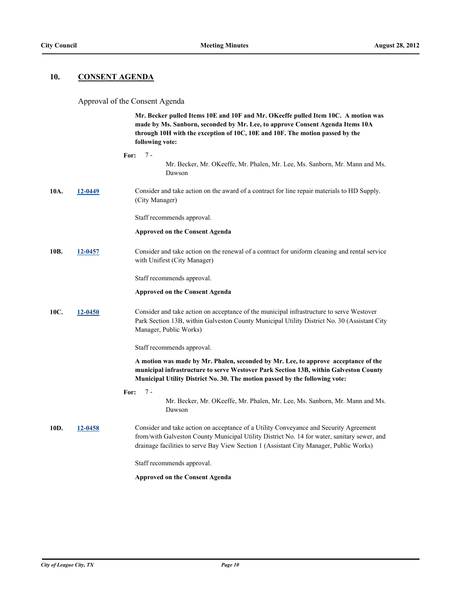#### **10. CONSENT AGENDA**

#### Approval of the Consent Agenda

**Mr. Becker pulled Items 10E and 10F and Mr. OKeeffe pulled Item 10C. A motion was made by Ms. Sanborn, seconded by Mr. Lee, to approve Consent Agenda Items 10A through 10H with the exception of 10C, 10E and 10F. The motion passed by the following vote: For:** 7 - Mr. Becker, Mr. OKeeffe, Mr. Phalen, Mr. Lee, Ms. Sanborn, Mr. Mann and Ms. Dawson **10A. [12-0449](http://leaguecity.legistar.com/gateway.aspx?m=l&id=3297)** Consider and take action on the award of a contract for line repair materials to HD Supply. (City Manager) Staff recommends approval. **Approved on the Consent Agenda 10B. [12-0457](http://leaguecity.legistar.com/gateway.aspx?m=l&id=3305)** Consider and take action on the renewal of a contract for uniform cleaning and rental service with Unifirst (City Manager) Staff recommends approval. **Approved on the Consent Agenda 10C. [12-0450](http://leaguecity.legistar.com/gateway.aspx?m=l&id=3298)** Consider and take action on acceptance of the municipal infrastructure to serve Westover Park Section 13B, within Galveston County Municipal Utility District No. 30 (Assistant City Manager, Public Works) Staff recommends approval. **A motion was made by Mr. Phalen, seconded by Mr. Lee, to approve acceptance of the municipal infrastructure to serve Westover Park Section 13B, within Galveston County Municipal Utility District No. 30. The motion passed by the following vote: For:** Mr. Becker, Mr. OKeeffe, Mr. Phalen, Mr. Lee, Ms. Sanborn, Mr. Mann and Ms. Dawson 7 - **10D. [12-0458](http://leaguecity.legistar.com/gateway.aspx?m=l&id=3306)** Consider and take action on acceptance of a Utility Conveyance and Security Agreement from/with Galveston County Municipal Utility District No. 14 for water, sanitary sewer, and drainage facilities to serve Bay View Section 1 (Assistant City Manager, Public Works) Staff recommends approval. **Approved on the Consent Agenda**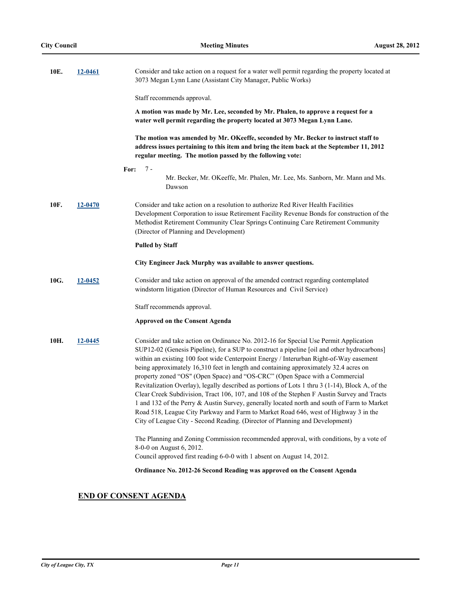| 10E. | <u>12-0461</u> | Consider and take action on a request for a water well permit regarding the property located at<br>3073 Megan Lynn Lane (Assistant City Manager, Public Works)                                                                                                                                                                                                                                                                                                                                                                                                                                                                                                                                                                                                                                                                                                                                                              |
|------|----------------|-----------------------------------------------------------------------------------------------------------------------------------------------------------------------------------------------------------------------------------------------------------------------------------------------------------------------------------------------------------------------------------------------------------------------------------------------------------------------------------------------------------------------------------------------------------------------------------------------------------------------------------------------------------------------------------------------------------------------------------------------------------------------------------------------------------------------------------------------------------------------------------------------------------------------------|
|      |                | Staff recommends approval.                                                                                                                                                                                                                                                                                                                                                                                                                                                                                                                                                                                                                                                                                                                                                                                                                                                                                                  |
|      |                | A motion was made by Mr. Lee, seconded by Mr. Phalen, to approve a request for a<br>water well permit regarding the property located at 3073 Megan Lynn Lane.                                                                                                                                                                                                                                                                                                                                                                                                                                                                                                                                                                                                                                                                                                                                                               |
|      |                | The motion was amended by Mr. OKeeffe, seconded by Mr. Becker to instruct staff to<br>address issues pertaining to this item and bring the item back at the September 11, 2012<br>regular meeting. The motion passed by the following vote:                                                                                                                                                                                                                                                                                                                                                                                                                                                                                                                                                                                                                                                                                 |
|      |                | $7 -$<br>For:<br>Mr. Becker, Mr. OKeeffe, Mr. Phalen, Mr. Lee, Ms. Sanborn, Mr. Mann and Ms.<br>Dawson                                                                                                                                                                                                                                                                                                                                                                                                                                                                                                                                                                                                                                                                                                                                                                                                                      |
| 10F. | 12-0470        | Consider and take action on a resolution to authorize Red River Health Facilities<br>Development Corporation to issue Retirement Facility Revenue Bonds for construction of the<br>Methodist Retirement Community Clear Springs Continuing Care Retirement Community<br>(Director of Planning and Development)                                                                                                                                                                                                                                                                                                                                                                                                                                                                                                                                                                                                              |
|      |                | <b>Pulled by Staff</b>                                                                                                                                                                                                                                                                                                                                                                                                                                                                                                                                                                                                                                                                                                                                                                                                                                                                                                      |
|      |                | City Engineer Jack Murphy was available to answer questions.                                                                                                                                                                                                                                                                                                                                                                                                                                                                                                                                                                                                                                                                                                                                                                                                                                                                |
| 10G. | 12-0452        | Consider and take action on approval of the amended contract regarding contemplated<br>windstorm litigation (Director of Human Resources and Civil Service)                                                                                                                                                                                                                                                                                                                                                                                                                                                                                                                                                                                                                                                                                                                                                                 |
|      |                | Staff recommends approval.                                                                                                                                                                                                                                                                                                                                                                                                                                                                                                                                                                                                                                                                                                                                                                                                                                                                                                  |
|      |                | <b>Approved on the Consent Agenda</b>                                                                                                                                                                                                                                                                                                                                                                                                                                                                                                                                                                                                                                                                                                                                                                                                                                                                                       |
| 10H. | 12-0445        | Consider and take action on Ordinance No. 2012-16 for Special Use Permit Application<br>SUP12-02 (Genesis Pipeline), for a SUP to construct a pipeline [oil and other hydrocarbons]<br>within an existing 100 foot wide Centerpoint Energy / Interurban Right-of-Way easement<br>being approximately 16,310 feet in length and containing approximately 32.4 acres on<br>property zoned "OS" (Open Space) and "OS-CRC" (Open Space with a Commercial<br>Revitalization Overlay), legally described as portions of Lots 1 thru 3 (1-14), Block A, of the<br>Clear Creek Subdivision, Tract 106, 107, and 108 of the Stephen F Austin Survey and Tracts<br>1 and 132 of the Perry & Austin Survey, generally located north and south of Farm to Market<br>Road 518, League City Parkway and Farm to Market Road 646, west of Highway 3 in the<br>City of League City - Second Reading. (Director of Planning and Development) |
|      |                | The Planning and Zoning Commission recommended approval, with conditions, by a vote of<br>8-0-0 on August 6, 2012.                                                                                                                                                                                                                                                                                                                                                                                                                                                                                                                                                                                                                                                                                                                                                                                                          |
|      |                | Council approved first reading 6-0-0 with 1 absent on August 14, 2012.                                                                                                                                                                                                                                                                                                                                                                                                                                                                                                                                                                                                                                                                                                                                                                                                                                                      |
|      |                | Ordinance No. 2012-26 Second Reading was approved on the Consent Agenda                                                                                                                                                                                                                                                                                                                                                                                                                                                                                                                                                                                                                                                                                                                                                                                                                                                     |

# **END OF CONSENT AGENDA**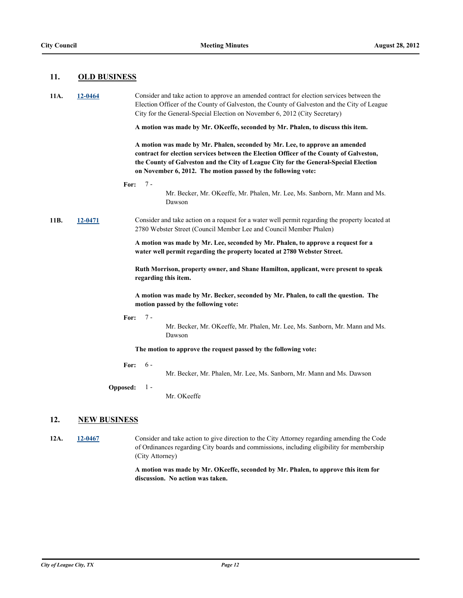#### **11. OLD BUSINESS**

| 11A. | 12-0464             | Consider and take action to approve an amended contract for election services between the<br>Election Officer of the County of Galveston, the County of Galveston and the City of League<br>City for the General-Special Election on November 6, 2012 (City Secretary)<br>A motion was made by Mr. OKeeffe, seconded by Mr. Phalen, to discuss this item. |
|------|---------------------|-----------------------------------------------------------------------------------------------------------------------------------------------------------------------------------------------------------------------------------------------------------------------------------------------------------------------------------------------------------|
|      |                     | A motion was made by Mr. Phalen, seconded by Mr. Lee, to approve an amended<br>contract for election services between the Election Officer of the County of Galveston,<br>the County of Galveston and the City of League City for the General-Special Election<br>on November 6, 2012. The motion passed by the following vote:                           |
|      | For:                | $7 -$<br>Mr. Becker, Mr. OKeeffe, Mr. Phalen, Mr. Lee, Ms. Sanborn, Mr. Mann and Ms.<br>Dawson                                                                                                                                                                                                                                                            |
| 11B. | 12-0471             | Consider and take action on a request for a water well permit regarding the property located at<br>2780 Webster Street (Council Member Lee and Council Member Phalen)                                                                                                                                                                                     |
|      |                     | A motion was made by Mr. Lee, seconded by Mr. Phalen, to approve a request for a<br>water well permit regarding the property located at 2780 Webster Street.                                                                                                                                                                                              |
|      |                     | Ruth Morrison, property owner, and Shane Hamilton, applicant, were present to speak<br>regarding this item.                                                                                                                                                                                                                                               |
|      |                     | A motion was made by Mr. Becker, seconded by Mr. Phalen, to call the question. The<br>motion passed by the following vote:                                                                                                                                                                                                                                |
|      | For:                | $7 -$<br>Mr. Becker, Mr. OKeeffe, Mr. Phalen, Mr. Lee, Ms. Sanborn, Mr. Mann and Ms.<br>Dawson                                                                                                                                                                                                                                                            |
|      |                     | The motion to approve the request passed by the following vote:                                                                                                                                                                                                                                                                                           |
|      | For:                | $6-$<br>Mr. Becker, Mr. Phalen, Mr. Lee, Ms. Sanborn, Mr. Mann and Ms. Dawson                                                                                                                                                                                                                                                                             |
|      | Opposed:            | $1 -$<br>Mr. OKeeffe                                                                                                                                                                                                                                                                                                                                      |
| 12.  | <b>NEW BUSINESS</b> |                                                                                                                                                                                                                                                                                                                                                           |

**12A. [12-0467](http://leaguecity.legistar.com/gateway.aspx?m=l&id=3315)** Consider and take action to give direction to the City Attorney regarding amending the Code of Ordinances regarding City boards and commissions, including eligibility for membership (City Attorney)

> **A motion was made by Mr. OKeeffe, seconded by Mr. Phalen, to approve this item for discussion. No action was taken.**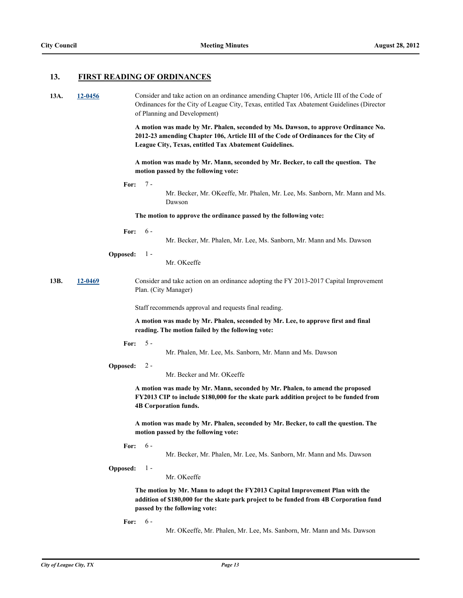## **13. FIRST READING OF ORDINANCES**

| 13A. | 12-0456 | Consider and take action on an ordinance amending Chapter 106, Article III of the Code of<br>Ordinances for the City of League City, Texas, entitled Tax Abatement Guidelines (Director<br>of Planning and Development)            |  |  |  |
|------|---------|------------------------------------------------------------------------------------------------------------------------------------------------------------------------------------------------------------------------------------|--|--|--|
|      |         | A motion was made by Mr. Phalen, seconded by Ms. Dawson, to approve Ordinance No.<br>2012-23 amending Chapter 106, Article III of the Code of Ordinances for the City of<br>League City, Texas, entitled Tax Abatement Guidelines. |  |  |  |
|      |         | A motion was made by Mr. Mann, seconded by Mr. Becker, to call the question. The<br>motion passed by the following vote:                                                                                                           |  |  |  |
|      |         | $7 -$<br>For:<br>Mr. Becker, Mr. OKeeffe, Mr. Phalen, Mr. Lee, Ms. Sanborn, Mr. Mann and Ms.<br>Dawson                                                                                                                             |  |  |  |
|      |         | The motion to approve the ordinance passed by the following vote:                                                                                                                                                                  |  |  |  |
|      |         | $6 -$<br>For:<br>Mr. Becker, Mr. Phalen, Mr. Lee, Ms. Sanborn, Mr. Mann and Ms. Dawson                                                                                                                                             |  |  |  |
|      |         | <b>Opposed:</b><br>$1 -$<br>Mr. OKeeffe                                                                                                                                                                                            |  |  |  |
| 13B. | 12-0469 | Consider and take action on an ordinance adopting the FY 2013-2017 Capital Improvement<br>Plan. (City Manager)                                                                                                                     |  |  |  |
|      |         | Staff recommends approval and requests final reading.                                                                                                                                                                              |  |  |  |
|      |         | A motion was made by Mr. Phalen, seconded by Mr. Lee, to approve first and final<br>reading. The motion failed by the following vote:                                                                                              |  |  |  |
|      |         | $5 -$<br>For:<br>Mr. Phalen, Mr. Lee, Ms. Sanborn, Mr. Mann and Ms. Dawson                                                                                                                                                         |  |  |  |
|      |         | $2 -$<br>Opposed:<br>Mr. Becker and Mr. OKeeffe                                                                                                                                                                                    |  |  |  |
|      |         | A motion was made by Mr. Mann, seconded by Mr. Phalen, to amend the proposed<br>FY2013 CIP to include \$180,000 for the skate park addition project to be funded from<br><b>4B Corporation funds.</b>                              |  |  |  |
|      |         | A motion was made by Mr. Phalen, seconded by Mr. Becker, to call the question. The<br>motion passed by the following vote:                                                                                                         |  |  |  |
|      |         | $6 -$<br>For:<br>Mr. Becker, Mr. Phalen, Mr. Lee, Ms. Sanborn, Mr. Mann and Ms. Dawson                                                                                                                                             |  |  |  |
|      |         | Opposed:<br>$1 -$<br>Mr. OKeeffe                                                                                                                                                                                                   |  |  |  |
|      |         | The motion by Mr. Mann to adopt the FY2013 Capital Improvement Plan with the<br>addition of \$180,000 for the skate park project to be funded from 4B Corporation fund<br>passed by the following vote:                            |  |  |  |
|      |         | $6 -$<br>For:<br>Mr. OKeeffe, Mr. Phalen, Mr. Lee, Ms. Sanborn, Mr. Mann and Ms. Dawson                                                                                                                                            |  |  |  |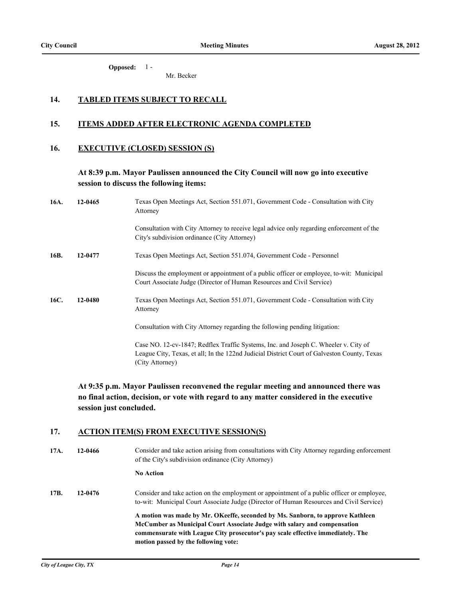**Opposed:** 1 -

Mr. Becker

## **14. TABLED ITEMS SUBJECT TO RECALL**

#### **15. ITEMS ADDED AFTER ELECTRONIC AGENDA COMPLETED**

#### **16. EXECUTIVE (CLOSED) SESSION (S)**

## **At 8:39 p.m. Mayor Paulissen announced the City Council will now go into executive session to discuss the following items:**

| 16A. | 12-0465 | Texas Open Meetings Act, Section 551.071, Government Code - Consultation with City<br>Attorney                                                                                                        |
|------|---------|-------------------------------------------------------------------------------------------------------------------------------------------------------------------------------------------------------|
|      |         | Consultation with City Attorney to receive legal advice only regarding enforcement of the<br>City's subdivision ordinance (City Attorney)                                                             |
| 16B. | 12-0477 | Texas Open Meetings Act, Section 551.074, Government Code - Personnel                                                                                                                                 |
|      |         | Discuss the employment or appointment of a public officer or employee, to-wit: Municipal<br>Court Associate Judge (Director of Human Resources and Civil Service)                                     |
| 16C. | 12-0480 | Texas Open Meetings Act, Section 551.071, Government Code - Consultation with City<br>Attorney                                                                                                        |
|      |         | Consultation with City Attorney regarding the following pending litigation:                                                                                                                           |
|      |         | Case NO. 12-cv-1847; Redflex Traffic Systems, Inc. and Joseph C. Wheeler v. City of<br>League City, Texas, et all; In the 122nd Judicial District Court of Galveston County, Texas<br>(City Attorney) |

**At 9:35 p.m. Mayor Paulissen reconvened the regular meeting and announced there was no final action, decision, or vote with regard to any matter considered in the executive session just concluded.**

## **17. ACTION ITEM(S) FROM EXECUTIVE SESSION(S)**

| 17A. | 12-0466 | Consider and take action arising from consultations with City Attorney regarding enforcement<br>of the City's subdivision ordinance (City Attorney)                                                                                                                                   |
|------|---------|---------------------------------------------------------------------------------------------------------------------------------------------------------------------------------------------------------------------------------------------------------------------------------------|
|      |         | <b>No Action</b>                                                                                                                                                                                                                                                                      |
| 17B. | 12-0476 | Consider and take action on the employment or appointment of a public officer or employee,<br>to-wit: Municipal Court Associate Judge (Director of Human Resources and Civil Service)                                                                                                 |
|      |         | A motion was made by Mr. OKeeffe, seconded by Ms. Sanborn, to approve Kathleen<br>McCumber as Municipal Court Associate Judge with salary and compensation<br>commensurate with League City prosecutor's pay scale effective immediately. The<br>motion passed by the following vote: |